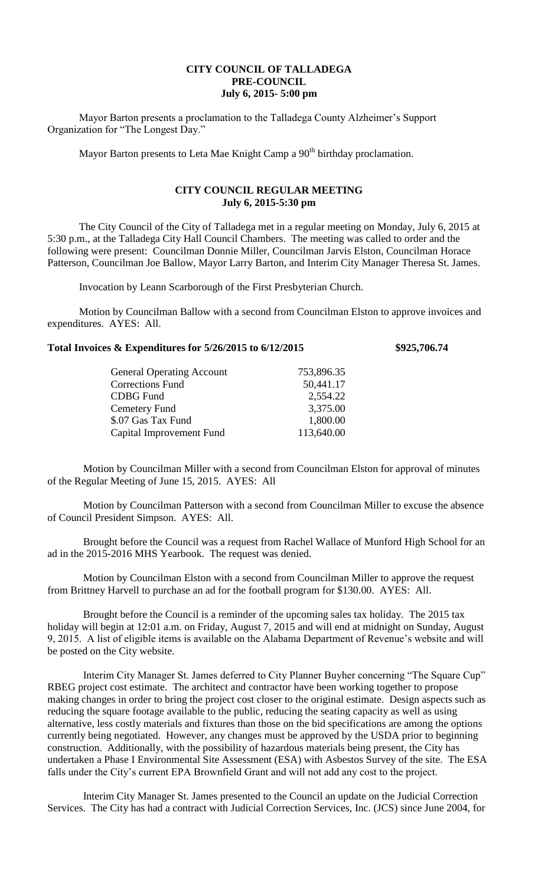## **CITY COUNCIL OF TALLADEGA PRE-COUNCIL July 6, 2015- 5:00 pm**

Mayor Barton presents a proclamation to the Talladega County Alzheimer's Support Organization for "The Longest Day."

Mayor Barton presents to Leta Mae Knight Camp a 90<sup>th</sup> birthday proclamation.

## **CITY COUNCIL REGULAR MEETING July 6, 2015-5:30 pm**

The City Council of the City of Talladega met in a regular meeting on Monday, July 6, 2015 at 5:30 p.m., at the Talladega City Hall Council Chambers. The meeting was called to order and the following were present: Councilman Donnie Miller, Councilman Jarvis Elston, Councilman Horace Patterson, Councilman Joe Ballow, Mayor Larry Barton, and Interim City Manager Theresa St. James.

Invocation by Leann Scarborough of the First Presbyterian Church.

Motion by Councilman Ballow with a second from Councilman Elston to approve invoices and expenditures. AYES: All.

## **Total Invoices & Expenditures for 5/26/2015 to 6/12/2015 \$925,706.74**

| <b>General Operating Account</b> | 753,896.35 |
|----------------------------------|------------|
| <b>Corrections Fund</b>          | 50,441.17  |
| <b>CDBG</b> Fund                 | 2,554.22   |
| Cemetery Fund                    | 3,375.00   |
| \$.07 Gas Tax Fund               | 1,800.00   |
| Capital Improvement Fund         | 113,640.00 |

Motion by Councilman Miller with a second from Councilman Elston for approval of minutes of the Regular Meeting of June 15, 2015. AYES: All

Motion by Councilman Patterson with a second from Councilman Miller to excuse the absence of Council President Simpson. AYES: All.

Brought before the Council was a request from Rachel Wallace of Munford High School for an ad in the 2015-2016 MHS Yearbook. The request was denied.

Motion by Councilman Elston with a second from Councilman Miller to approve the request from Brittney Harvell to purchase an ad for the football program for \$130.00. AYES: All.

Brought before the Council is a reminder of the upcoming sales tax holiday. The 2015 tax holiday will begin at 12:01 a.m. on Friday, August 7, 2015 and will end at midnight on Sunday, August 9, 2015. A list of eligible items is available on the Alabama Department of Revenue's website and will be posted on the City website.

Interim City Manager St. James deferred to City Planner Buyher concerning "The Square Cup" RBEG project cost estimate. The architect and contractor have been working together to propose making changes in order to bring the project cost closer to the original estimate. Design aspects such as reducing the square footage available to the public, reducing the seating capacity as well as using alternative, less costly materials and fixtures than those on the bid specifications are among the options currently being negotiated. However, any changes must be approved by the USDA prior to beginning construction. Additionally, with the possibility of hazardous materials being present, the City has undertaken a Phase I Environmental Site Assessment (ESA) with Asbestos Survey of the site. The ESA falls under the City's current EPA Brownfield Grant and will not add any cost to the project.

Interim City Manager St. James presented to the Council an update on the Judicial Correction Services. The City has had a contract with Judicial Correction Services, Inc. (JCS) since June 2004, for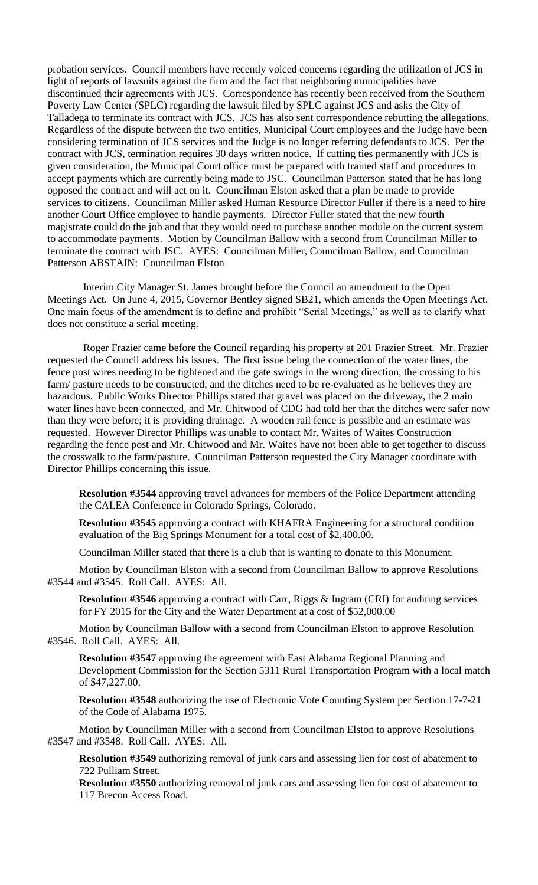probation services. Council members have recently voiced concerns regarding the utilization of JCS in light of reports of lawsuits against the firm and the fact that neighboring municipalities have discontinued their agreements with JCS. Correspondence has recently been received from the Southern Poverty Law Center (SPLC) regarding the lawsuit filed by SPLC against JCS and asks the City of Talladega to terminate its contract with JCS. JCS has also sent correspondence rebutting the allegations. Regardless of the dispute between the two entities, Municipal Court employees and the Judge have been considering termination of JCS services and the Judge is no longer referring defendants to JCS. Per the contract with JCS, termination requires 30 days written notice. If cutting ties permanently with JCS is given consideration, the Municipal Court office must be prepared with trained staff and procedures to accept payments which are currently being made to JSC. Councilman Patterson stated that he has long opposed the contract and will act on it. Councilman Elston asked that a plan be made to provide services to citizens. Councilman Miller asked Human Resource Director Fuller if there is a need to hire another Court Office employee to handle payments. Director Fuller stated that the new fourth magistrate could do the job and that they would need to purchase another module on the current system to accommodate payments. Motion by Councilman Ballow with a second from Councilman Miller to terminate the contract with JSC. AYES: Councilman Miller, Councilman Ballow, and Councilman Patterson ABSTAIN: Councilman Elston

Interim City Manager St. James brought before the Council an amendment to the Open Meetings Act. On June 4, 2015, Governor Bentley signed SB21, which amends the Open Meetings Act. One main focus of the amendment is to define and prohibit "Serial Meetings," as well as to clarify what does not constitute a serial meeting.

Roger Frazier came before the Council regarding his property at 201 Frazier Street. Mr. Frazier requested the Council address his issues. The first issue being the connection of the water lines, the fence post wires needing to be tightened and the gate swings in the wrong direction, the crossing to his farm/ pasture needs to be constructed, and the ditches need to be re-evaluated as he believes they are hazardous. Public Works Director Phillips stated that gravel was placed on the driveway, the 2 main water lines have been connected, and Mr. Chitwood of CDG had told her that the ditches were safer now than they were before; it is providing drainage. A wooden rail fence is possible and an estimate was requested. However Director Phillips was unable to contact Mr. Waites of Waites Construction regarding the fence post and Mr. Chitwood and Mr. Waites have not been able to get together to discuss the crosswalk to the farm/pasture. Councilman Patterson requested the City Manager coordinate with Director Phillips concerning this issue.

**Resolution #3544** approving travel advances for members of the Police Department attending the CALEA Conference in Colorado Springs, Colorado.

**Resolution #3545** approving a contract with KHAFRA Engineering for a structural condition evaluation of the Big Springs Monument for a total cost of \$2,400.00.

Councilman Miller stated that there is a club that is wanting to donate to this Monument.

Motion by Councilman Elston with a second from Councilman Ballow to approve Resolutions #3544 and #3545. Roll Call. AYES: All.

**Resolution #3546** approving a contract with Carr, Riggs & Ingram (CRI) for auditing services for FY 2015 for the City and the Water Department at a cost of \$52,000.00

Motion by Councilman Ballow with a second from Councilman Elston to approve Resolution #3546. Roll Call. AYES: All.

**Resolution #3547** approving the agreement with East Alabama Regional Planning and Development Commission for the Section 5311 Rural Transportation Program with a local match of \$47,227.00.

**Resolution #3548** authorizing the use of Electronic Vote Counting System per Section 17-7-21 of the Code of Alabama 1975.

Motion by Councilman Miller with a second from Councilman Elston to approve Resolutions #3547 and #3548. Roll Call. AYES: All.

**Resolution #3549** authorizing removal of junk cars and assessing lien for cost of abatement to 722 Pulliam Street.

**Resolution #3550** authorizing removal of junk cars and assessing lien for cost of abatement to 117 Brecon Access Road.